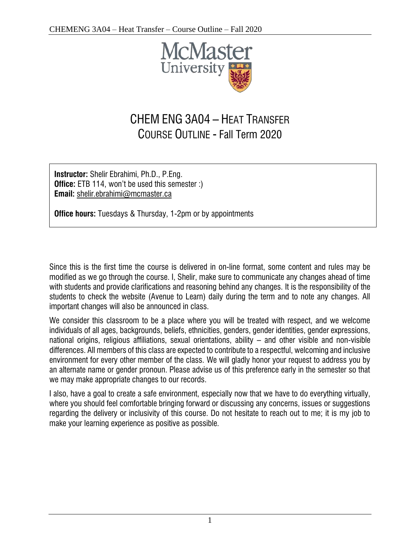

# CHEM ENG 3A04 – HEAT TRANSFER COURSE OUTLINE - Fall Term 2020

**Instructor:** Shelir Ebrahimi, Ph.D., P.Eng. **Office:** ETB 114, won't be used this semester :) **Email:** [shelir.ebrahimi@mcmaster.ca](mailto:shelir.ebrahimi@mcmaster.ca)

**Office hours:** Tuesdays & Thursday, 1-2pm or by appointments

Since this is the first time the course is delivered in on-line format, some content and rules may be modified as we go through the course. I, Shelir, make sure to communicate any changes ahead of time with students and provide clarifications and reasoning behind any changes. It is the responsibility of the students to check the website (Avenue to Learn) daily during the term and to note any changes. All important changes will also be announced in class.

We consider this classroom to be a place where you will be treated with respect, and we welcome individuals of all ages, backgrounds, beliefs, ethnicities, genders, gender identities, gender expressions, national origins, religious affiliations, sexual orientations, ability – and other visible and non-visible differences. All members of this class are expected to contribute to a respectful, welcoming and inclusive environment for every other member of the class. We will gladly honor your request to address you by an alternate name or gender pronoun. Please advise us of this preference early in the semester so that we may make appropriate changes to our records.

I also, have a goal to create a safe environment, especially now that we have to do everything virtually, where you should feel comfortable bringing forward or discussing any concerns, issues or suggestions regarding the delivery or inclusivity of this course. Do not hesitate to reach out to me; it is my job to make your learning experience as positive as possible.

1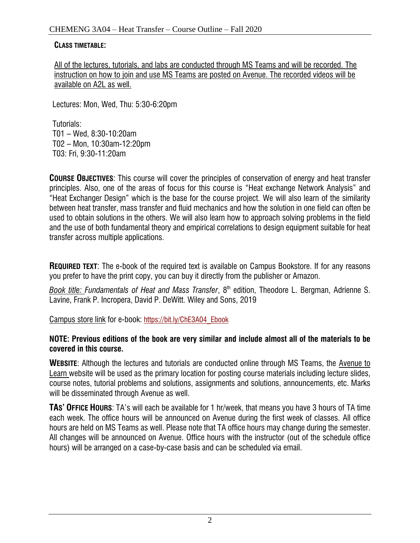#### **CLASS TIMETABLE:**

All of the lectures, tutorials, and labs are conducted through MS Teams and will be recorded. The instruction on how to join and use MS Teams are posted on Avenue. The recorded videos will be available on A2L as well.

Lectures: Mon, Wed, Thu: 5:30-6:20pm

Tutorials: T01 – Wed, 8:30-10:20am T02 – Mon, 10:30am-12:20pm T03: Fri, 9:30-11:20am

**COURSE OBJECTIVES:** This course will cover the principles of conservation of energy and heat transfer principles. Also, one of the areas of focus for this course is "Heat exchange Network Analysis" and "Heat Exchanger Design" which is the base for the course project. We will also learn of the similarity between heat transfer, mass transfer and fluid mechanics and how the solution in one field can often be used to obtain solutions in the others. We will also learn how to approach solving problems in the field and the use of both fundamental theory and empirical correlations to design equipment suitable for heat transfer across multiple applications.

**REQUIRED TEXT**: The e-book of the required text is available on Campus Bookstore. If for any reasons you prefer to have the print copy, you can buy it directly from the publisher or Amazon.

*Book title: Fundamentals of Heat and Mass Transfer*, 8 th edition, Theodore L. Bergman, Adrienne S. Lavine, Frank P. Incropera, David P. DeWitt. Wiley and Sons, 2019

Campus store link for e-book: [https://bit.ly/ChE3A04\\_Ebook](https://bit.ly/ChE3A04_Ebook)

#### **NOTE: Previous editions of the book are very similar and include almost all of the materials to be covered in this course.**

**WEBSITE**: Although the lectures and tutorials are conducted online through MS Teams, the Avenue to Learn website will be used as the primary location for posting course materials including lecture slides, course notes, tutorial problems and solutions, assignments and solutions, announcements, etc. Marks will be disseminated through Avenue as well.

**TAS' OFFICE HOURS**: TA's will each be available for 1 hr/week, that means you have 3 hours of TA time each week. The office hours will be announced on Avenue during the first week of classes. All office hours are held on MS Teams as well. Please note that TA office hours may change during the semester. All changes will be announced on Avenue. Office hours with the instructor (out of the schedule office hours) will be arranged on a case-by-case basis and can be scheduled via email.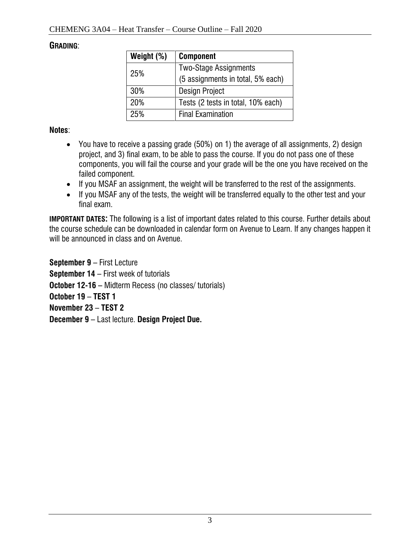### **GRADING**:

| Weight (%) | <b>Component</b>                   |  |
|------------|------------------------------------|--|
| 25%        | <b>Two-Stage Assignments</b>       |  |
|            | (5 assignments in total, 5% each)  |  |
| 30%        | <b>Design Project</b>              |  |
| 20%        | Tests (2 tests in total, 10% each) |  |
| 25%        | <b>Final Examination</b>           |  |

**Notes**:

- You have to receive a passing grade (50%) on 1) the average of all assignments, 2) design project, and 3) final exam, to be able to pass the course. If you do not pass one of these components, you will fail the course and your grade will be the one you have received on the failed component.
- If you MSAF an assignment, the weight will be transferred to the rest of the assignments.
- If you MSAF any of the tests, the weight will be transferred equally to the other test and your final exam.

**IMPORTANT DATES:** The following is a list of important dates related to this course. Further details about the course schedule can be downloaded in calendar form on Avenue to Learn. If any changes happen it will be announced in class and on Avenue.

**September 9** – First Lecture **September 14** – First week of tutorials **October 12-16 –** Midterm Recess (no classes/ tutorials) **October 19** – **TEST 1 November 23** – **TEST 2 December 9** – Last lecture. **Design Project Due.**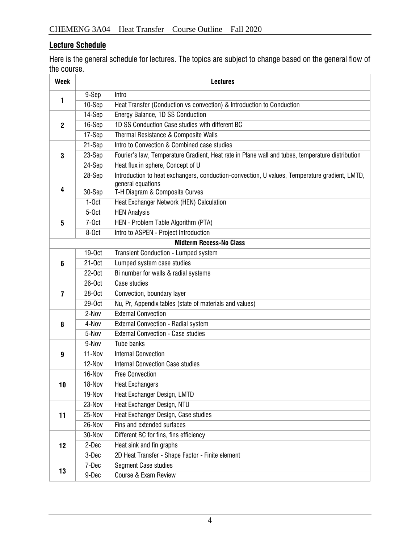## **Lecture Schedule**

Here is the general schedule for lectures. The topics are subject to change based on the general flow of the course.

| <b>Week</b>                    | <b>Lectures</b>    |                                                                                                                    |  |  |
|--------------------------------|--------------------|--------------------------------------------------------------------------------------------------------------------|--|--|
| 1                              | 9-Sep              | Intro                                                                                                              |  |  |
|                                | 10-Sep             | Heat Transfer (Conduction vs convection) & Introduction to Conduction                                              |  |  |
| $\overline{2}$                 | 14-Sep             | Energy Balance, 1D SS Conduction                                                                                   |  |  |
|                                | 16-Sep             | 1D SS Conduction Case studies with different BC                                                                    |  |  |
|                                | 17-Sep             | Thermal Resistance & Composite Walls                                                                               |  |  |
| 3                              | 21-Sep             | Intro to Convection & Combined case studies                                                                        |  |  |
|                                | 23-Sep             | Fourier's law, Temperature Gradient, Heat rate in Plane wall and tubes, temperature distribution                   |  |  |
|                                | 24-Sep             | Heat flux in sphere, Concept of U                                                                                  |  |  |
| 4                              | 28-Sep             | Introduction to heat exchangers, conduction-convection, U values, Temperature gradient, LMTD,<br>general equations |  |  |
|                                | 30-Sep             | T-H Diagram & Composite Curves                                                                                     |  |  |
|                                | $1-0ct$            | Heat Exchanger Network (HEN) Calculation                                                                           |  |  |
| 5                              | $5-0ct$            | <b>HEN Analysis</b>                                                                                                |  |  |
|                                | $7-0ct$            | HEN - Problem Table Algorithm (PTA)                                                                                |  |  |
|                                | 8-Oct              | Intro to ASPEN - Project Introduction                                                                              |  |  |
| <b>Midterm Recess-No Class</b> |                    |                                                                                                                    |  |  |
| 6                              | 19-0 <sub>ct</sub> | Transient Conduction - Lumped system                                                                               |  |  |
|                                | $21-0ct$           | Lumped system case studies                                                                                         |  |  |
|                                | 22-0ct             | Bi number for walls & radial systems                                                                               |  |  |
| 7                              | 26-Oct             | Case studies                                                                                                       |  |  |
|                                | 28-0ct             | Convection, boundary layer                                                                                         |  |  |
|                                | 29-0ct             | Nu, Pr, Appendix tables (state of materials and values)                                                            |  |  |
|                                | 2-Nov              | <b>External Convection</b>                                                                                         |  |  |
| 8                              | 4-Nov              | External Convection - Radial system                                                                                |  |  |
|                                | 5-Nov              | <b>External Convection - Case studies</b>                                                                          |  |  |
|                                | 9-Nov              | Tube banks                                                                                                         |  |  |
| 9                              | 11-Nov             | <b>Internal Convection</b>                                                                                         |  |  |
|                                | 12-Nov             | <b>Internal Convection Case studies</b>                                                                            |  |  |
| 10                             | 16-Nov             | <b>Free Convection</b>                                                                                             |  |  |
|                                | 18-Nov             | <b>Heat Exchangers</b>                                                                                             |  |  |
|                                | 19-Nov             | Heat Exchanger Design, LMTD                                                                                        |  |  |
| 11                             | 23-Nov             | Heat Exchanger Design, NTU                                                                                         |  |  |
|                                | 25-Nov             | Heat Exchanger Design, Case studies                                                                                |  |  |
|                                | 26-Nov             | Fins and extended surfaces                                                                                         |  |  |
| 12                             | 30-Nov             | Different BC for fins, fins efficiency                                                                             |  |  |
|                                | 2-Dec              | Heat sink and fin graphs                                                                                           |  |  |
|                                | 3-Dec              | 2D Heat Transfer - Shape Factor - Finite element                                                                   |  |  |
| 13                             | 7-Dec              | Segment Case studies                                                                                               |  |  |
|                                | 9-Dec              | Course & Exam Review                                                                                               |  |  |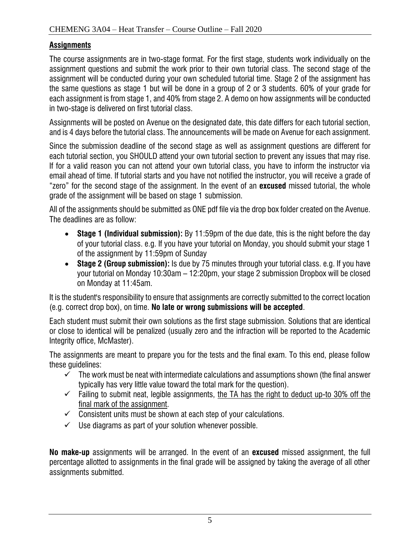## **Assignments**

The course assignments are in two-stage format. For the first stage, students work individually on the assignment questions and submit the work prior to their own tutorial class. The second stage of the assignment will be conducted during your own scheduled tutorial time. Stage 2 of the assignment has the same questions as stage 1 but will be done in a group of 2 or 3 students. 60% of your grade for each assignment is from stage 1, and 40% from stage 2. A demo on how assignments will be conducted in two-stage is delivered on first tutorial class.

Assignments will be posted on Avenue on the designated date, this date differs for each tutorial section, and is 4 days before the tutorial class. The announcements will be made on Avenue for each assignment.

Since the submission deadline of the second stage as well as assignment questions are different for each tutorial section, you SHOULD attend your own tutorial section to prevent any issues that may rise. If for a valid reason you can not attend your own tutorial class, you have to inform the instructor via email ahead of time. If tutorial starts and you have not notified the instructor, you will receive a grade of "zero" for the second stage of the assignment. In the event of an **excused** missed tutorial, the whole grade of the assignment will be based on stage 1 submission.

All of the assignments should be submitted as ONE pdf file via the drop box folder created on the Avenue. The deadlines are as follow:

- **Stage 1 (Individual submission):** By 11:59pm of the due date, this is the night before the day of your tutorial class. e.g. If you have your tutorial on Monday, you should submit your stage 1 of the assignment by 11:59pm of Sunday
- **Stage 2 (Group submission):** Is due by 75 minutes through your tutorial class. e.g. If you have your tutorial on Monday 10:30am – 12:20pm, your stage 2 submission Dropbox will be closed on Monday at 11:45am.

It is the student's responsibility to ensure that assignments are correctly submitted to the correct location (e.g. correct drop box), on time. **No late or wrong submissions will be accepted**.

Each student must submit their own solutions as the first stage submission. Solutions that are identical or close to identical will be penalized (usually zero and the infraction will be reported to the Academic Integrity office, McMaster).

The assignments are meant to prepare you for the tests and the final exam. To this end, please follow these guidelines:

- $\checkmark$  The work must be neat with intermediate calculations and assumptions shown (the final answer typically has very little value toward the total mark for the question).
- $\checkmark$  Failing to submit neat, legible assignments, the TA has the right to deduct up-to 30% off the final mark of the assignment.
- $\checkmark$  Consistent units must be shown at each step of your calculations.
- $\checkmark$  Use diagrams as part of your solution whenever possible.

**No make-up** assignments will be arranged. In the event of an **excused** missed assignment, the full percentage allotted to assignments in the final grade will be assigned by taking the average of all other assignments submitted.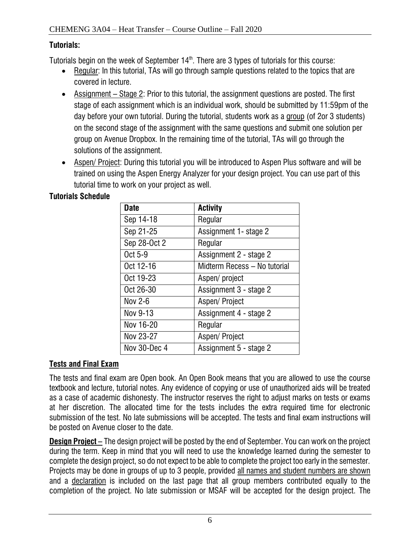# **Tutorials:**

Tutorials begin on the week of September 14 $^{\text{th}}$ . There are 3 types of tutorials for this course:

- Regular: In this tutorial, TAs will go through sample questions related to the topics that are covered in lecture.
- Assignment Stage 2: Prior to this tutorial, the assignment questions are posted. The first stage of each assignment which is an individual work, should be submitted by 11:59pm of the day before your own tutorial. During the tutorial, students work as a group (of 2or 3 students) on the second stage of the assignment with the same questions and submit one solution per group on Avenue Dropbox. In the remaining time of the tutorial, TAs will go through the solutions of the assignment.
- Aspen/ Project: During this tutorial you will be introduced to Aspen Plus software and will be trained on using the Aspen Energy Analyzer for your design project. You can use part of this tutorial time to work on your project as well.

| <b>Date</b>    | <b>Activity</b>              |
|----------------|------------------------------|
| Sep 14-18      | Regular                      |
| Sep 21-25      | Assignment 1- stage 2        |
| Sep 28-Oct 2   | Regular                      |
| Oct 5-9        | Assignment 2 - stage 2       |
| Oct 12-16      | Midterm Recess - No tutorial |
| Oct 19-23      | Aspen/project                |
| Oct 26-30      | Assignment 3 - stage 2       |
| <b>Nov 2-6</b> | Aspen/Project                |
| Nov 9-13       | Assignment 4 - stage 2       |
| Nov 16-20      | Regular                      |
| Nov 23-27      | Aspen/Project                |
| Nov 30-Dec 4   | Assignment 5 - stage 2       |

# **Tutorials Schedule**

# **Tests and Final Exam**

The tests and final exam are Open book. An Open Book means that you are allowed to use the course textbook and lecture, tutorial notes. Any evidence of copying or use of unauthorized aids will be treated as a case of academic dishonesty. The instructor reserves the right to adjust marks on tests or exams at her discretion. The allocated time for the tests includes the extra required time for electronic submission of the test. No late submissions will be accepted. The tests and final exam instructions will be posted on Avenue closer to the date.

**Design Project –** The design project will be posted by the end of September. You can work on the project during the term. Keep in mind that you will need to use the knowledge learned during the semester to complete the design project, so do not expect to be able to complete the project too early in the semester. Projects may be done in groups of up to 3 people, provided all names and student numbers are shown and a declaration is included on the last page that all group members contributed equally to the completion of the project. No late submission or MSAF will be accepted for the design project. The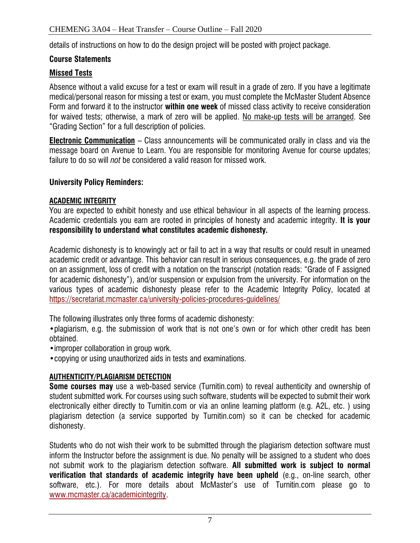details of instructions on how to do the design project will be posted with project package.

#### **Course Statements**

#### **Missed Tests**

Absence without a valid excuse for a test or exam will result in a grade of zero. If you have a legitimate medical/personal reason for missing a test or exam, you must complete the McMaster Student Absence Form and forward it to the instructor **within one week** of missed class activity to receive consideration for waived tests; otherwise, a mark of zero will be applied. No make-up tests will be arranged. See "Grading Section" for a full description of policies.

**Electronic Communication** – Class announcements will be communicated orally in class and via the message board on Avenue to Learn. You are responsible for monitoring Avenue for course updates; failure to do so will *not* be considered a valid reason for missed work.

#### **University Policy Reminders:**

#### **ACADEMIC INTEGRITY**

You are expected to exhibit honesty and use ethical behaviour in all aspects of the learning process. Academic credentials you earn are rooted in principles of honesty and academic integrity. **It is your responsibility to understand what constitutes academic dishonesty.**

Academic dishonesty is to knowingly act or fail to act in a way that results or could result in unearned academic credit or advantage. This behavior can result in serious consequences, e.g. the grade of zero on an assignment, loss of credit with a notation on the transcript (notation reads: "Grade of F assigned for academic dishonesty"), and/or suspension or expulsion from the university. For information on the various types of academic dishonesty please refer to the Academic Integrity Policy, located at <https://secretariat.mcmaster.ca/university-policies-procedures-guidelines/>

The following illustrates only three forms of academic dishonesty:

•plagiarism, e.g. the submission of work that is not one's own or for which other credit has been obtained.

•improper collaboration in group work.

•copying or using unauthorized aids in tests and examinations.

#### **AUTHENTICITY/PLAGIARISM DETECTION**

**Some courses may** use a web-based service (Turnitin.com) to reveal authenticity and ownership of student submitted work. For courses using such software, students will be expected to submit their work electronically either directly to Turnitin.com or via an online learning platform (e.g. A2L, etc. ) using plagiarism detection (a service supported by Turnitin.com) so it can be checked for academic dishonesty.

Students who do not wish their work to be submitted through the plagiarism detection software must inform the Instructor before the assignment is due. No penalty will be assigned to a student who does not submit work to the plagiarism detection software. **All submitted work is subject to normal verification that standards of academic integrity have been upheld** (e.g., on-line search, other software, etc.). For more details about McMaster's use of Turnitin.com please go to [www.mcmaster.ca/academicintegrity.](http://www.mcmaster.ca/academicintegrity)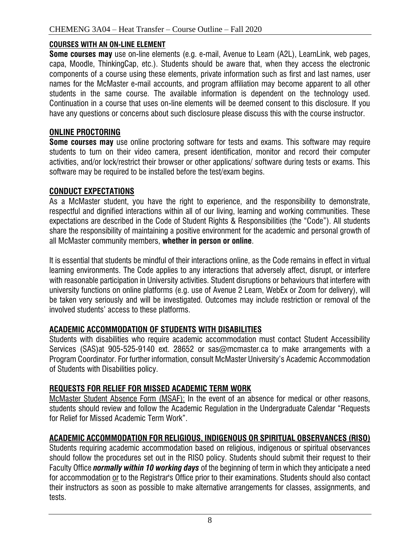#### **COURSES WITH AN ON-LINE ELEMENT**

**Some courses may** use on-line elements (e.g. e-mail, Avenue to Learn (A2L), LearnLink, web pages, capa, Moodle, ThinkingCap, etc.). Students should be aware that, when they access the electronic components of a course using these elements, private information such as first and last names, user names for the McMaster e-mail accounts, and program affiliation may become apparent to all other students in the same course. The available information is dependent on the technology used. Continuation in a course that uses on-line elements will be deemed consent to this disclosure. If you have any questions or concerns about such disclosure please discuss this with the course instructor.

#### **ONLINE PROCTORING**

**Some courses may** use online proctoring software for tests and exams. This software may require students to turn on their video camera, present identification, monitor and record their computer activities, and/or lock/restrict their browser or other applications/ software during tests or exams. This software may be required to be installed before the test/exam begins.

#### **CONDUCT EXPECTATIONS**

As a McMaster student, you have the right to experience, and the responsibility to demonstrate, respectful and dignified interactions within all of our living, learning and working communities. These expectations are described in the Code of Student Rights & Responsibilities (the "Code"). All students share the responsibility of maintaining a positive environment for the academic and personal growth of all McMaster community members, **whether in person or online**.

It is essential that students be mindful of their interactions online, as the Code remains in effect in virtual learning environments. The Code applies to any interactions that adversely affect, disrupt, or interfere with reasonable participation in University activities. Student disruptions or behaviours that interfere with university functions on online platforms (e.g. use of Avenue 2 Learn, WebEx or Zoom for delivery), will be taken very seriously and will be investigated. Outcomes may include restriction or removal of the involved students' access to these platforms.

# **ACADEMIC ACCOMMODATION OF STUDENTS WITH DISABILITIES**

Students with disabilities who require academic accommodation must contact Student Accessibility Services (SAS)at 905-525-9140 ext. 28652 or sas@mcmaster.ca to make arrangements with a Program Coordinator. For further information, consult McMaster University's Academic Accommodation of Students with Disabilities policy.

# **REQUESTS FOR RELIEF FOR MISSED ACADEMIC TERM WORK**

McMaster Student Absence Form (MSAF): In the event of an absence for medical or other reasons, students should review and follow the Academic Regulation in the Undergraduate Calendar "Requests for Relief for Missed Academic Term Work".

# **ACADEMIC ACCOMMODATION FOR RELIGIOUS, INDIGENOUS OR SPIRITUAL OBSERVANCES (RISO)**

Students requiring academic accommodation based on religious, indigenous or spiritual observances should follow the procedures set out in the RISO policy. Students should submit their request to their Faculty Office *normally within 10 working days* of the beginning of term in which they anticipate a need for accommodation or to the Registrar's Office prior to their examinations. Students should also contact their instructors as soon as possible to make alternative arrangements for classes, assignments, and tests.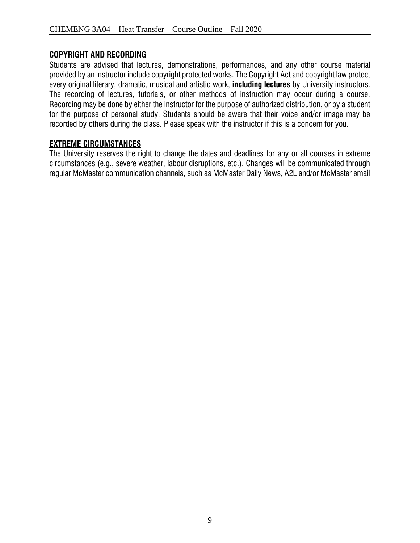## **COPYRIGHT AND RECORDING**

Students are advised that lectures, demonstrations, performances, and any other course material provided by an instructor include copyright protected works. The Copyright Act and copyright law protect every original literary, dramatic, musical and artistic work, **including lectures** by University instructors. The recording of lectures, tutorials, or other methods of instruction may occur during a course. Recording may be done by either the instructor for the purpose of authorized distribution, or by a student for the purpose of personal study. Students should be aware that their voice and/or image may be recorded by others during the class. Please speak with the instructor if this is a concern for you.

# **EXTREME CIRCUMSTANCES**

The University reserves the right to change the dates and deadlines for any or all courses in extreme circumstances (e.g., severe weather, labour disruptions, etc.). Changes will be communicated through regular McMaster communication channels, such as McMaster Daily News, A2L and/or McMaster email